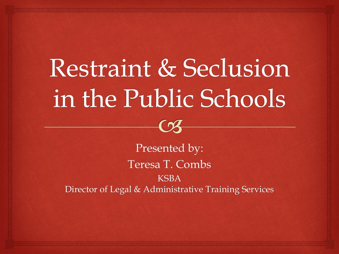# Restraint & Seclusion in the Public Schools

 $\curvearrowright$ 

Presented by: Teresa T. Combs KSBA Director of Legal & Administrative Training Services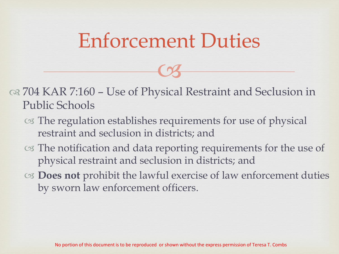#### Enforcement Duties

 $C<sub>3</sub>$ 

 704 KAR 7:160 – Use of Physical Restraint and Seclusion in Public Schools

- The regulation establishes requirements for use of physical restraint and seclusion in districts; and
- The notification and data reporting requirements for the use of physical restraint and seclusion in districts; and
- **Does not** prohibit the lawful exercise of law enforcement duties by sworn law enforcement officers.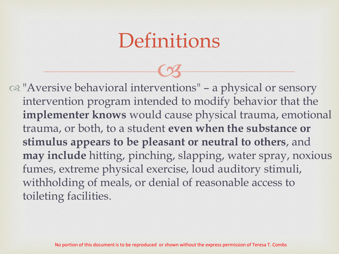#### **Definitions**

 $C<sub>3</sub>$  "Aversive behavioral interventions" – a physical or sensory intervention program intended to modify behavior that the **implementer knows** would cause physical trauma, emotional trauma, or both, to a student **even when the substance or stimulus appears to be pleasant or neutral to others**, and **may include** hitting, pinching, slapping, water spray, noxious fumes, extreme physical exercise, loud auditory stimuli, withholding of meals, or denial of reasonable access to toileting facilities.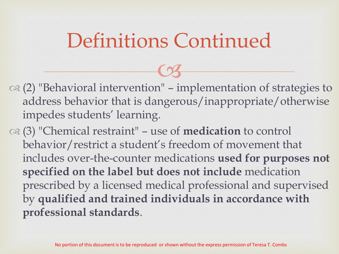- $C<sub>3</sub>$  $\alpha$  (2) "Behavioral intervention" – implementation of strategies to address behavior that is dangerous/inappropriate/otherwise impedes students' learning.
- (3) "Chemical restraint" use of **medication** to control behavior/restrict a student's freedom of movement that includes over-the-counter medications **used for purposes not specified on the label but does not include** medication prescribed by a licensed medical professional and supervised by **qualified and trained individuals in accordance with professional standards**.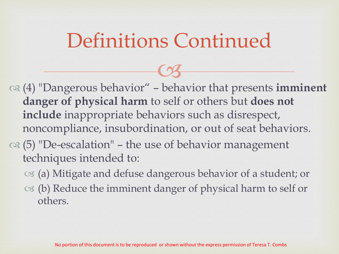- $C<sub>3</sub>$  (4) "Dangerous behavior" – behavior that presents **imminent danger of physical harm** to self or others but **does not include** inappropriate behaviors such as disrespect, noncompliance, insubordination, or out of seat behaviors.
- $\alpha$  (5) "De-escalation" the use of behavior management techniques intended to:
	- (a) Mitigate and defuse dangerous behavior of a student; or
	- (b) Reduce the imminent danger of physical harm to self or others.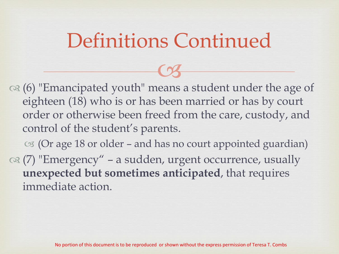$C<sub>3</sub>$ 

 (6) "Emancipated youth" means a student under the age of eighteen (18) who is or has been married or has by court order or otherwise been freed from the care, custody, and control of the student's parents.

 $\infty$  (Or age 18 or older – and has no court appointed guardian) (7) "Emergency" – a sudden, urgent occurrence, usually **unexpected but sometimes anticipated**, that requires immediate action.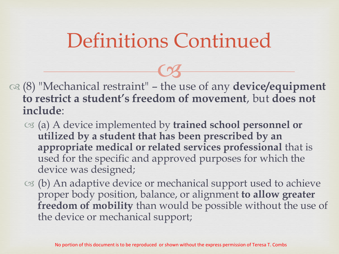(8) "Mechanical restraint" – the use of any **device/equipment to restrict a student's freedom of movement**, but **does not include**:

- (a) A device implemented by **trained school personnel or utilized by a student that has been prescribed by an appropriate medical or related services professional** that is used for the specific and approved purposes for which the device was designed;
- $\infty$  (b) An adaptive device or mechanical support used to achieve proper body position, balance, or alignment **to allow greater freedom of mobility** than would be possible without the use of the device or mechanical support;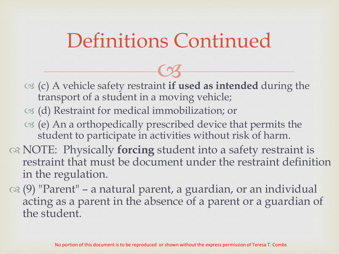- (c) A vehicle safety restraint  $C<sub>3</sub>$ **if used as intended** during the transport of a student in a moving vehicle;
- (d) Restraint for medical immobilization; or
- $\infty$  (e) An a orthopedically prescribed device that permits the student to participate in activities without risk of harm.
- NOTE: Physically **forcing** student into a safety restraint is restraint that must be document under the restraint definition in the regulation.
- (9) "Parent" a natural parent, a guardian, or an individual acting as a parent in the absence of a parent or a guardian of the student.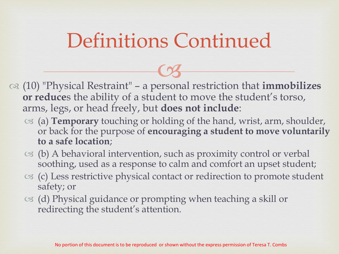(10) "Physical Restraint" – a personal restriction that **immobilizes**   $C<sub>3</sub>$ **or reduce**s the ability of a student to move the student's torso, arms, legs, or head freely, but **does not include**:

- (a) **Temporary** touching or holding of the hand, wrist, arm, shoulder, or back for the purpose of **encouraging a student to move voluntarily to a safe location**;
- $\circ$  (b) A behavioral intervention, such as proximity control or verbal soothing, used as a response to calm and comfort an upset student;
- (c) Less restrictive physical contact or redirection to promote student safety; or
- $\circ$  (d) Physical guidance or prompting when teaching a skill or redirecting the student's attention.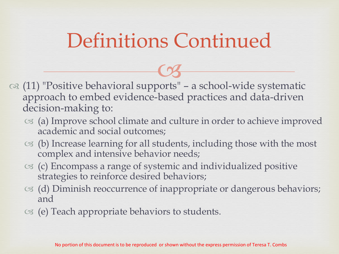- (11) "Positive behavioral supports" a school-wide systematic approach to embed evidence-based practices and data-driven decision-making to:
	- (a) Improve school climate and culture in order to achieve improved academic and social outcomes;
	- $\infty$  (b) Increase learning for all students, including those with the most complex and intensive behavior needs;
	- (c) Encompass a range of systemic and individualized positive strategies to reinforce desired behaviors;
	- (d) Diminish reoccurrence of inappropriate or dangerous behaviors; and
	- (e) Teach appropriate behaviors to students.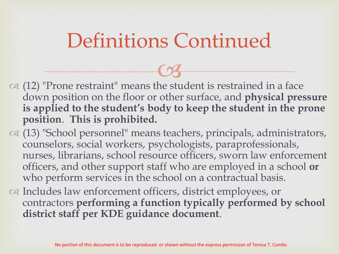- $\infty$  (12) "Prone restraint" means the student is restrained in a face  $\overline{\text{C3}}$ down position on the floor or other surface, and **physical pressure is applied to the student's body to keep the student in the prone position**. **This is prohibited.**
- (13) "School personnel" means teachers, principals, administrators, counselors, social workers, psychologists, paraprofessionals, nurses, librarians, school resource officers, sworn law enforcement officers, and other support staff who are employed in a school **or** who perform services in the school on a contractual basis.
- os Includes law enforcement officers, district employees, or contractors **performing a function typically performed by school district staff per KDE guidance document**.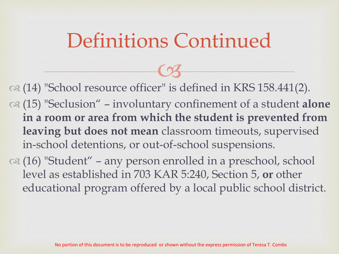$C<sub>3</sub>$  (14) "School resource officer" is defined in KRS 158.441(2). (15) "Seclusion" – involuntary confinement of a student **alone in a room or area from which the student is prevented from leaving but does not mean** classroom timeouts, supervised in-school detentions, or out-of-school suspensions.

 $\alpha$  (16) "Student" – any person enrolled in a preschool, school level as established in 703 KAR 5:240, Section 5, **or** other educational program offered by a local public school district.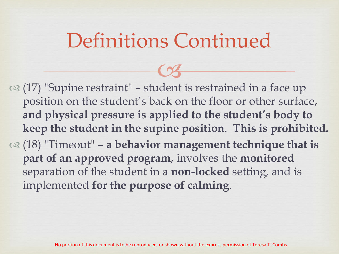$C<sub>3</sub>$ 

 (17) "Supine restraint" – student is restrained in a face up position on the student's back on the floor or other surface, **and physical pressure is applied to the student's body to keep the student in the supine position**. **This is prohibited.** (18) "Timeout" – **a behavior management technique that is part of an approved program**, involves the **monitored** separation of the student in a **non-locked** setting, and is implemented **for the purpose of calming**.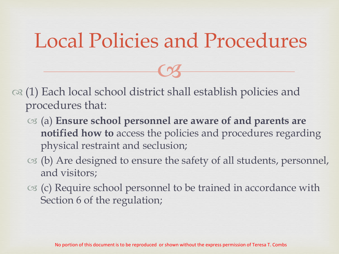#### Local Policies and Procedures

 $C<sub>3</sub>$ 

- $\infty$  (1) Each local school district shall establish policies and procedures that:
	- (a) **Ensure school personnel are aware of and parents are notified how to** access the policies and procedures regarding physical restraint and seclusion;
	- $\infty$  (b) Are designed to ensure the safety of all students, personnel, and visitors;
	- $\infty$  (c) Require school personnel to be trained in accordance with Section 6 of the regulation;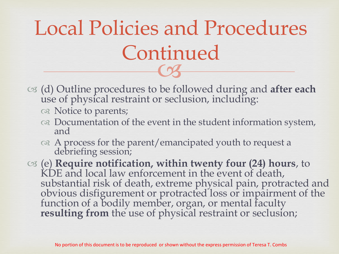## $\frac{1}{3}$ Local Policies and Procedures Continued

- (d) Outline procedures to be followed during and **after each**  use of physical restraint or seclusion, including:
	- os Notice to parents;
	- $\infty$  Documentation of the event in the student information system, and
	- $\alpha$  A process for the parent/emancipated youth to request a debriefing session;
- (e) **Require notification, within twenty four (24) hours**, to KDE and local law enforcement in the event of death, substantial risk of death, extreme physical pain, protracted and obvious disfigurement or protracted loss or impairment of the function of a bodily member, organ, or mental faculty **resulting from** the use of physical restraint or seclusion;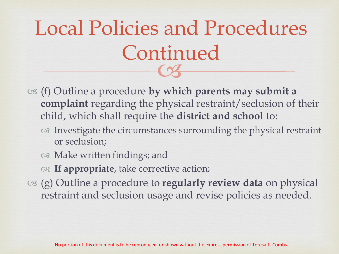## $\frac{1}{3}$ Local Policies and Procedures Continued

- (f) Outline a procedure **by which parents may submit a complaint** regarding the physical restraint/seclusion of their child, which shall require the **district and school** to:
	- Investigate the circumstances surrounding the physical restraint or seclusion;
	- or Make written findings; and
	- **If appropriate**, take corrective action;
- (g) Outline a procedure to **regularly review data** on physical restraint and seclusion usage and revise policies as needed.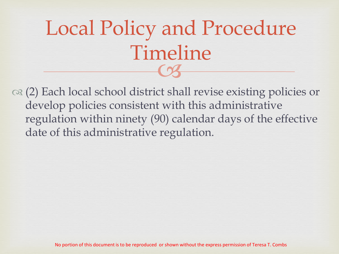## $\frac{1}{3}$ Local Policy and Procedure Timeline

 (2) Each local school district shall revise existing policies or develop policies consistent with this administrative regulation within ninety (90) calendar days of the effective date of this administrative regulation.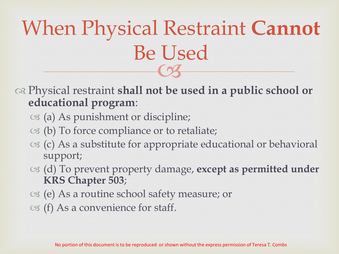## $\overline{\text{C3}}$ When Physical Restraint **Cannot** Be Used

 Physical restraint **shall not be used in a public school or educational program**:

- (a) As punishment or discipline;
- $\infty$  (b) To force compliance or to retaliate;
- $\infty$  (c) As a substitute for appropriate educational or behavioral support;
- (d) To prevent property damage, **except as permitted under KRS Chapter 503**;
- $\infty$  (e) As a routine school safety measure; or
- $\circ$  (f) As a convenience for staff.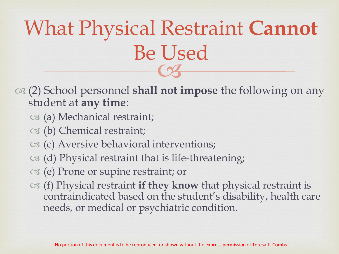## $\overline{\text{C3}}$ What Physical Restraint **Cannot** Be Used

- (2) School personnel **shall not impose** the following on any student at **any time**:
	- (a) Mechanical restraint;
	- (b) Chemical restraint;
	- $\infty$  (c) Aversive behavioral interventions;
	- $\infty$  (d) Physical restraint that is life-threatening;
	- (e) Prone or supine restraint; or
	- (f) Physical restraint **if they know** that physical restraint is contraindicated based on the student's disability, health care needs, or medical or psychiatric condition.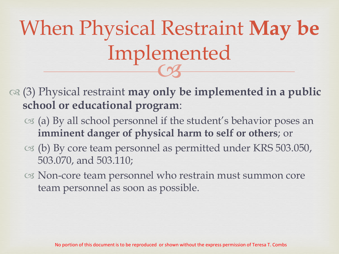## $\frac{1}{3}$ When Physical Restraint **May be**  Implemented

- (3) Physical restraint **may only be implemented in a public school or educational program**:
	- $\infty$  (a) By all school personnel if the student's behavior poses an **imminent danger of physical harm to self or others**; or
	- (b) By core team personnel as permitted under KRS 503.050, 503.070, and 503.110;
	- Non-core team personnel who restrain must summon core team personnel as soon as possible.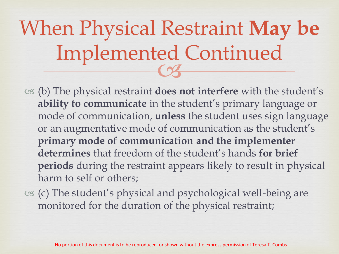## $\frac{1}{3}$ When Physical Restraint **May be**  Implemented Continued

- (b) The physical restraint **does not interfere** with the student's **ability to communicate** in the student's primary language or mode of communication, **unless** the student uses sign language or an augmentative mode of communication as the student's **primary mode of communication and the implementer determines** that freedom of the student's hands **for brief periods** during the restraint appears likely to result in physical harm to self or others;
- $\infty$  (c) The student's physical and psychological well-being are monitored for the duration of the physical restraint;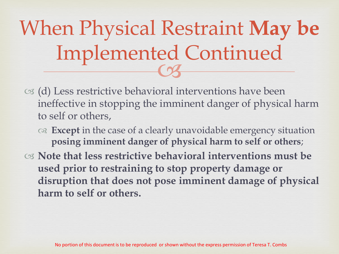## $\frac{1}{3}$ When Physical Restraint **May be**  Implemented Continued

- $\infty$  (d) Less restrictive behavioral interventions have been ineffective in stopping the imminent danger of physical harm to self or others,
	- **Except** in the case of a clearly unavoidable emergency situation **posing imminent danger of physical harm to self or others**;
- **Note that less restrictive behavioral interventions must be used prior to restraining to stop property damage or disruption that does not pose imminent damage of physical harm to self or others.**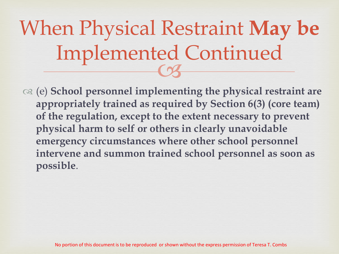## $\frac{1}{3}$ When Physical Restraint **May be**  Implemented Continued

 (e) **School personnel implementing the physical restraint are appropriately trained as required by Section 6(3) (core team) of the regulation, except to the extent necessary to prevent physical harm to self or others in clearly unavoidable emergency circumstances where other school personnel intervene and summon trained school personnel as soon as possible**.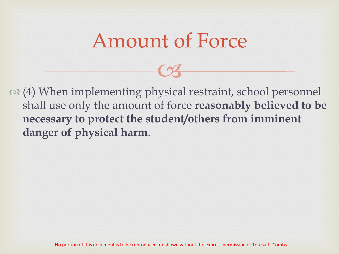#### Amount of Force

 $C<sub>3</sub>$ 

 (4) When implementing physical restraint, school personnel shall use only the amount of force **reasonably believed to be necessary to protect the student/others from imminent danger of physical harm**.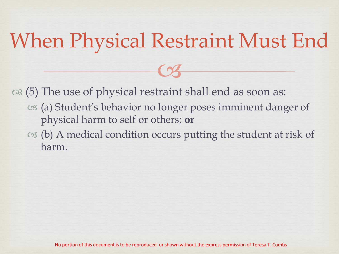## When Physical Restraint Must End

 $C<sub>3</sub>$ 

 $\infty$  (5) The use of physical restraint shall end as soon as:

- (a) Student's behavior no longer poses imminent danger of physical harm to self or others; **or**
- $\infty$  (b) A medical condition occurs putting the student at risk of harm.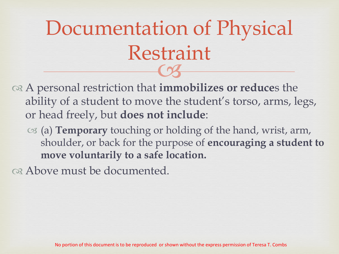## $\frac{1}{3}$ Documentation of Physical Restraint

- A personal restriction that **immobilizes or reduce**s the ability of a student to move the student's torso, arms, legs, or head freely, but **does not include**:
	- (a) **Temporary** touching or holding of the hand, wrist, arm, shoulder, or back for the purpose of **encouraging a student to move voluntarily to a safe location.**

Above must be documented.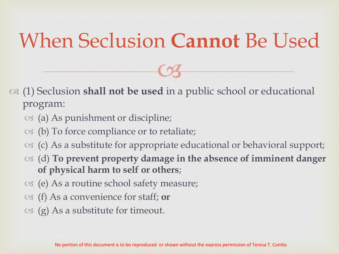#### When Seclusion **Cannot** Be Used

 $C<sub>3</sub>$ 

- (1) Seclusion **shall not be used** in a public school or educational program:
	- $\infty$  (a) As punishment or discipline;
	- $\infty$  (b) To force compliance or to retaliate;
	- $\infty$  (c) As a substitute for appropriate educational or behavioral support;
	- (d) **To prevent property damage in the absence of imminent danger of physical harm to self or others**;
	- (e) As a routine school safety measure;
	- (f) As a convenience for staff; **or**
	- $\circ$  (g) As a substitute for timeout.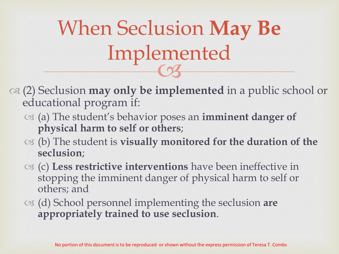$\frac{1}{3}$ When Seclusion **May Be**  Implemented

- (2) Seclusion **may only be implemented** in a public school or educational program if:
	- (a) The student's behavior poses an **imminent danger of physical harm to self or others**;
	- (b) The student is **visually monitored for the duration of the seclusion**;
	- (c) **Less restrictive interventions** have been ineffective in stopping the imminent danger of physical harm to self or others; and
	- (d) School personnel implementing the seclusion **are appropriately trained to use seclusion**.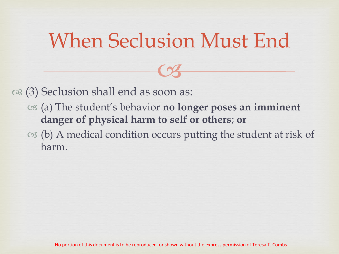#### When Seclusion Must End

 $C<sub>3</sub>$ 

 $\infty$  (3) Seclusion shall end as soon as:

- (a) The student's behavior **no longer poses an imminent danger of physical harm to self or others**; **or**
- $\infty$  (b) A medical condition occurs putting the student at risk of harm.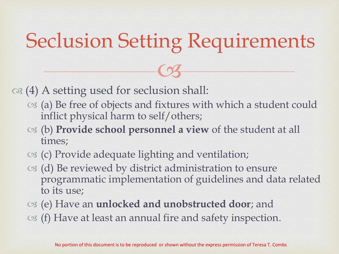## Seclusion Setting Requirements

 $C<sub>3</sub>$ 

 $\infty$  (4) A setting used for seclusion shall:

- (a) Be free of objects and fixtures with which a student could inflict physical harm to self/others;
- (b) **Provide school personnel a view** of the student at all times;
- $\infty$  (c) Provide adequate lighting and ventilation;
- $\infty$  (d) Be reviewed by district administration to ensure programmatic implementation of guidelines and data related to its use;
- (e) Have an **unlocked and unobstructed door**; and  $\circ$  (f) Have at least an annual fire and safety inspection.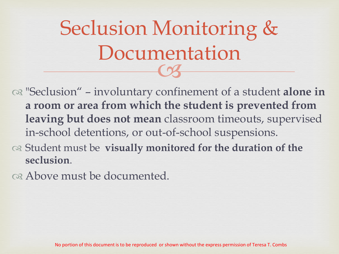$\frac{1}{3}$ Seclusion Monitoring & Documentation

 "Seclusion" – involuntary confinement of a student **alone in a room or area from which the student is prevented from leaving but does not mean** classroom timeouts, supervised in-school detentions, or out-of-school suspensions.

 Student must be **visually monitored for the duration of the seclusion**.

Above must be documented.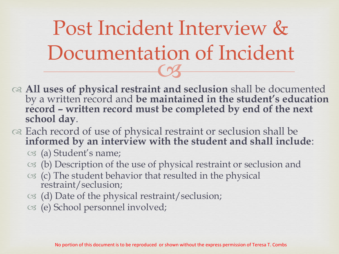$\frac{101}{3}$ Post Incident Interview & Documentation of Incident

- **All uses of physical restraint and seclusion** shall be documented by a written record and **be maintained in the student's education record – written record must be completed by end of the next school day**.
- or Each record of use of physical restraint or seclusion shall be **informed by an interview with the student and shall include**:
	- (a) Student's name;
	- $\infty$  (b) Description of the use of physical restraint or seclusion and
	- $\infty$  (c) The student behavior that resulted in the physical restraint/seclusion;
	- $\circ$  (d) Date of the physical restraint/seclusion;
	- (e) School personnel involved;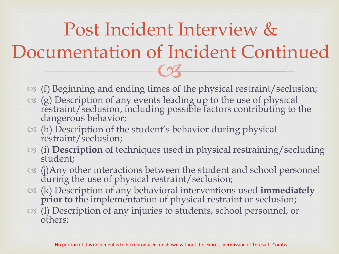#### $\overline{\text{C3}}$ Post Incident Interview & Documentation of Incident Continued

- $\sigma$  (f) Beginning and ending times of the physical restraint/seclusion;
- $\infty$  (g) Description of any events leading up to the use of physical restraint/seclusion, including possible factors contributing to the dangerous behavior;
- (h) Description of the student's behavior during physical restraint/seclusion;
- (i) **Description** of techniques used in physical restraining/secluding student;
- (j)Any other interactions between the student and school personnel during the use of physical restraint/seclusion;
- (k) Description of any behavioral interventions used **immediately prior to** the implementation of physical restraint or seclusion;
- (l) Description of any injuries to students, school personnel, or others;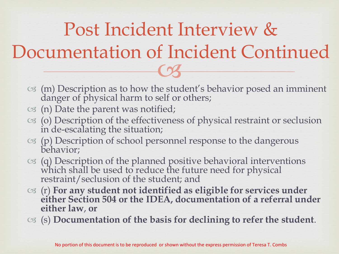$\overline{\text{C3}}$ Post Incident Interview & Documentation of Incident Continued

- $\infty$  (m) Description as to how the student's behavior posed an imminent danger of physical harm to self or others;
- $\circ$  (n) Date the parent was notified;
- (o) Description of the effectiveness of physical restraint or seclusion in de-escalating the situation;
- (p) Description of school personnel response to the dangerous behavior;
- $\infty$  (q) Description of the planned positive behavioral interventions which shall be used to reduce the future need for physical restraint/seclusion of the student; and
- (r) **For any student not identified as eligible for services under either Section 504 or the IDEA, documentation of a referral under either law**, **or**
- (s) **Documentation of the basis for declining to refer the student**.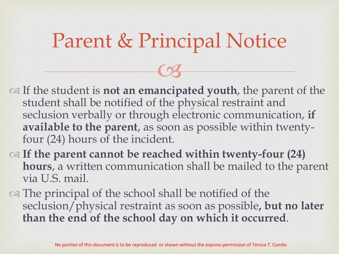#### Parent & Principal Notice

 $C<sub>3</sub>$ 

 If the student is **not an emancipated youth**, the parent of the student shall be notified of the physical restraint and seclusion verbally or through electronic communication, **if available to the parent**, as soon as possible within twentyfour (24) hours of the incident.

- **If the parent cannot be reached within twenty-four (24) hours**, a written communication shall be mailed to the parent via U.S. mail.
- on The principal of the school shall be notified of the seclusion/physical restraint as soon as possible**, but no later than the end of the school day on which it occurred**.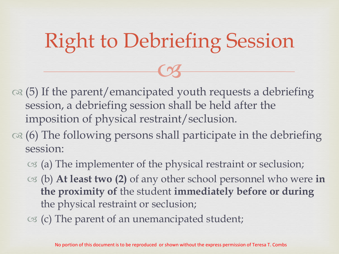## Right to Debriefing Session

 $C<sub>3</sub>$ 

- $\infty$  (5) If the parent/emancipated youth requests a debriefing session, a debriefing session shall be held after the imposition of physical restraint/seclusion.
- $\infty$  (6) The following persons shall participate in the debriefing session:
	- $\infty$  (a) The implementer of the physical restraint or seclusion;
	- (b) **At least two (2)** of any other school personnel who were **in the proximity of** the student **immediately before or during**  the physical restraint or seclusion;
	- $\infty$  (c) The parent of an unemancipated student;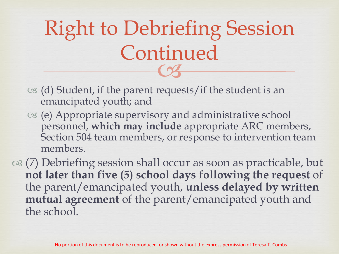$\frac{1}{3}$ Right to Debriefing Session Continued

- $\infty$  (d) Student, if the parent requests/if the student is an emancipated youth; and
- (e) Appropriate supervisory and administrative school personnel, **which may include** appropriate ARC members, Section 504 team members, or response to intervention team members.

 $\infty$  (7) Debriefing session shall occur as soon as practicable, but **not later than five (5) school days following the request** of the parent/emancipated youth, **unless delayed by written mutual agreement** of the parent/emancipated youth and the school.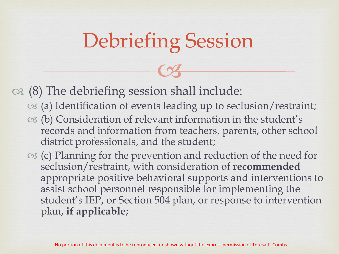## Debriefing Session

 $C<sub>3</sub>$ 

 $\infty$  (8) The debriefing session shall include:

- (a) Identification of events leading up to seclusion/restraint;
- (b) Consideration of relevant information in the student's records and information from teachers, parents, other school district professionals, and the student;
- $\infty$  (c) Planning for the prevention and reduction of the need for seclusion/restraint, with consideration of **recommended**  appropriate positive behavioral supports and interventions to assist school personnel responsible for implementing the student's IEP, or Section 504 plan, or response to intervention plan, **if applicable**;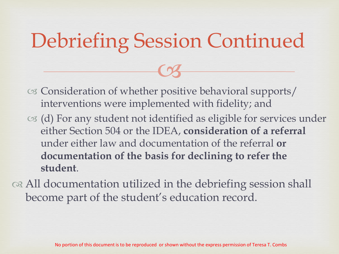## Debriefing Session Continued

 $C<sub>3</sub>$ 

- Consideration of whether positive behavioral supports/ interventions were implemented with fidelity; and
- $\infty$  (d) For any student not identified as eligible for services under either Section 504 or the IDEA, **consideration of a referral**  under either law and documentation of the referral **or documentation of the basis for declining to refer the student**.
- or All documentation utilized in the debriefing session shall become part of the student's education record.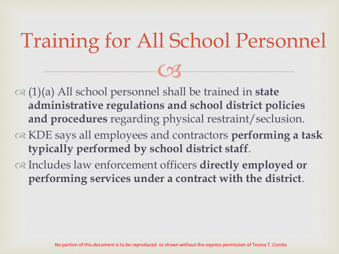## Training for All School Personnel

 $C<sub>3</sub>$ 

- (1)(a) All school personnel shall be trained in **state administrative regulations and school district policies and procedures** regarding physical restraint/seclusion.
- KDE says all employees and contractors **performing a task typically performed by school district staff**.
- Includes law enforcement officers **directly employed or performing services under a contract with the district**.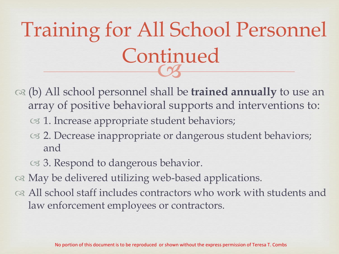#### **COS** Training for All School Personnel Continued

- (b) All school personnel shall be **trained annually** to use an array of positive behavioral supports and interventions to:
	- os 1. Increase appropriate student behaviors;
	- 2. Decrease inappropriate or dangerous student behaviors; and
	- 3. Respond to dangerous behavior.
- or May be delivered utilizing web-based applications.
- All school staff includes contractors who work with students and law enforcement employees or contractors.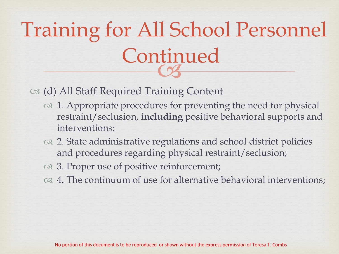#### **COS** Training for All School Personnel Continued

#### (d) All Staff Required Training Content

- $\infty$  1. Appropriate procedures for preventing the need for physical restraint/seclusion, **including** positive behavioral supports and interventions;
- 2. State administrative regulations and school district policies and procedures regarding physical restraint/seclusion;
- $\infty$  3. Proper use of positive reinforcement;
- $\infty$  4. The continuum of use for alternative behavioral interventions;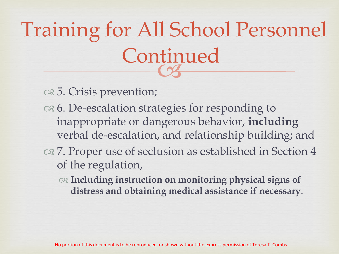#### **COS** Training for All School Personnel Continued

 $\infty$  5. Crisis prevention;

- $\infty$  6. De-escalation strategies for responding to inappropriate or dangerous behavior, **including** verbal de-escalation, and relationship building; and
- 7. Proper use of seclusion as established in Section 4 of the regulation,
	- **Including instruction on monitoring physical signs of distress and obtaining medical assistance if necessary**.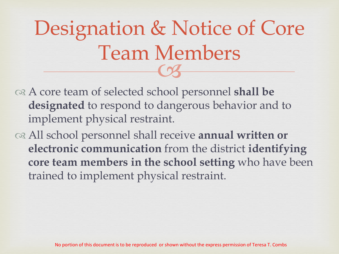## $\frac{1}{3}$ Designation & Notice of Core Team Members

- A core team of selected school personnel **shall be designated** to respond to dangerous behavior and to implement physical restraint.
- All school personnel shall receive **annual written or electronic communication** from the district **identifying core team members in the school setting** who have been trained to implement physical restraint.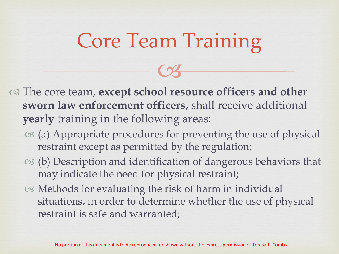## Core Team Training

 $C<sub>3</sub>$ 

 The core team, **except school resource officers and other sworn law enforcement officers**, shall receive additional **yearly** training in the following areas:

- (a) Appropriate procedures for preventing the use of physical restraint except as permitted by the regulation;
- (b) Description and identification of dangerous behaviors that may indicate the need for physical restraint;
- Methods for evaluating the risk of harm in individual situations, in order to determine whether the use of physical restraint is safe and warranted;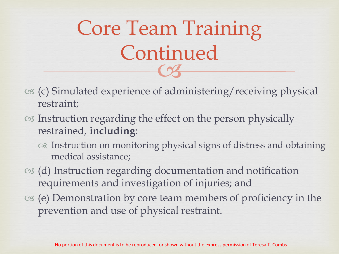$\frac{1}{3}$ Core Team Training Continued

- (c) Simulated experience of administering/receiving physical restraint;
- Instruction regarding the effect on the person physically restrained, **including**:
	- Instruction on monitoring physical signs of distress and obtaining medical assistance;
- (d) Instruction regarding documentation and notification requirements and investigation of injuries; and
- $\infty$  (e) Demonstration by core team members of proficiency in the prevention and use of physical restraint.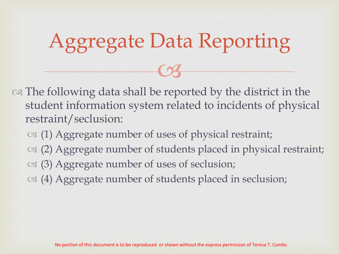## Aggregate Data Reporting

 $C<sub>3</sub>$ 

on The following data shall be reported by the district in the student information system related to incidents of physical restraint/seclusion:

- (1) Aggregate number of uses of physical restraint;
- (2) Aggregate number of students placed in physical restraint;
- (3) Aggregate number of uses of seclusion;
- (4) Aggregate number of students placed in seclusion;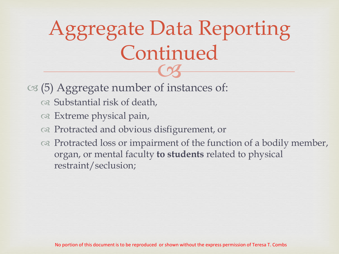#### $\frac{1}{3}$ Aggregate Data Reporting Continued

#### $\infty$  (5) Aggregate number of instances of:

- Substantial risk of death,
- $\infty$  Extreme physical pain,
- Protracted and obvious disfigurement, or
- $\infty$  Protracted loss or impairment of the function of a bodily member, organ, or mental faculty **to students** related to physical restraint/seclusion;